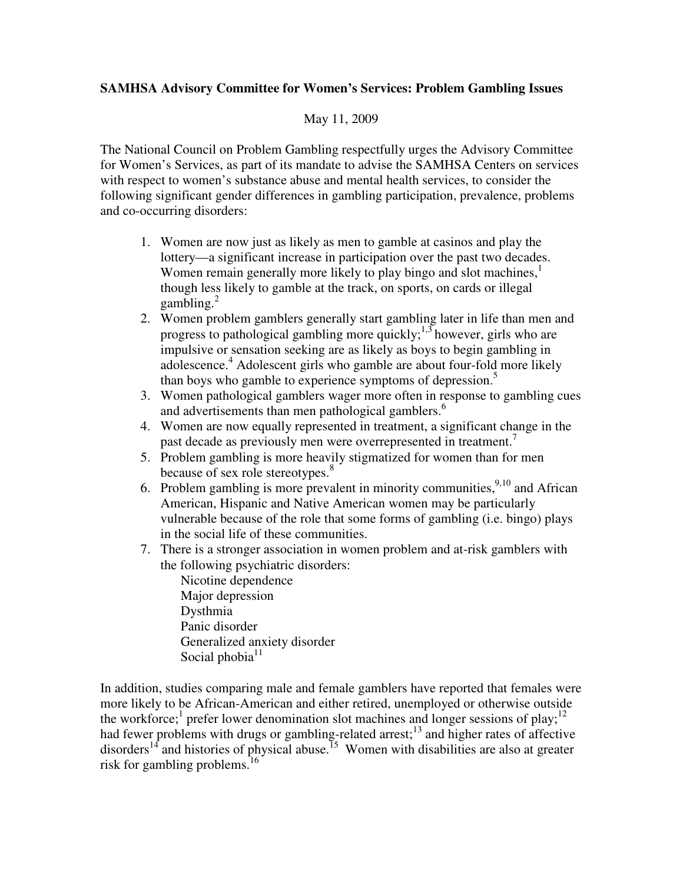## **SAMHSA Advisory Committee for Women's Services: Problem Gambling Issues**

## May 11, 2009

The National Council on Problem Gambling respectfully urges the Advisory Committee for Women's Services, as part of its mandate to advise the SAMHSA Centers on services with respect to women's substance abuse and mental health services, to consider the following significant gender differences in gambling participation, prevalence, problems and co-occurring disorders:

- 1. Women are now just as likely as men to gamble at casinos and play the lottery—a significant increase in participation over the past two decades. Women remain generally more likely to play bingo and slot machines, $<sup>1</sup>$ </sup> though less likely to gamble at the track, on sports, on cards or illegal gambling. $^{2}$
- 2. Women problem gamblers generally start gambling later in life than men and progress to pathological gambling more quickly;  $\frac{1}{3}$  however, girls who are impulsive or sensation seeking are as likely as boys to begin gambling in adolescence.<sup>4</sup> Adolescent girls who gamble are about four-fold more likely than boys who gamble to experience symptoms of depression.<sup>5</sup>
- 3. Women pathological gamblers wager more often in response to gambling cues and advertisements than men pathological gamblers.<sup>6</sup>
- 4. Women are now equally represented in treatment, a significant change in the past decade as previously men were overrepresented in treatment.<sup>7</sup>
- 5. Problem gambling is more heavily stigmatized for women than for men because of sex role stereotypes.<sup>8</sup>
- 6. Problem gambling is more prevalent in minority communities,  $^{9,10}$  and African American, Hispanic and Native American women may be particularly vulnerable because of the role that some forms of gambling (i.e. bingo) plays in the social life of these communities.
- 7. There is a stronger association in women problem and at-risk gamblers with the following psychiatric disorders:

Nicotine dependence Major depression Dysthmia Panic disorder Generalized anxiety disorder Social phobia $11$ 

In addition, studies comparing male and female gamblers have reported that females were more likely to be African-American and either retired, unemployed or otherwise outside the workforce;<sup>1</sup> prefer lower denomination slot machines and longer sessions of play;<sup>12</sup> had fewer problems with drugs or gambling-related arrest;<sup>13</sup> and higher rates of affective disorders<sup>14</sup> and histories of physical abuse.<sup>15</sup> Women with disabilities are also at greater risk for gambling problems.<sup>16</sup>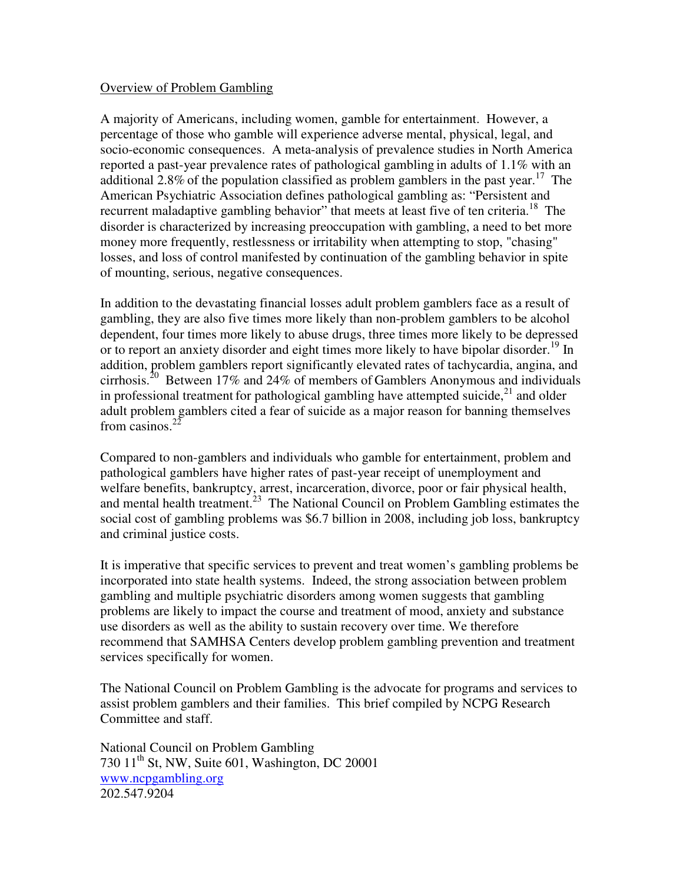## Overview of Problem Gambling

A majority of Americans, including women, gamble for entertainment. However, a percentage of those who gamble will experience adverse mental, physical, legal, and socio-economic consequences. A meta-analysis of prevalence studies in North America reported a past-year prevalence rates of pathological gambling in adults of 1.1% with an additional 2.8% of the population classified as problem gamblers in the past year.<sup>17</sup> The American Psychiatric Association defines pathological gambling as: "Persistent and recurrent maladaptive gambling behavior" that meets at least five of ten criteria.<sup>18</sup> The disorder is characterized by increasing preoccupation with gambling, a need to bet more money more frequently, restlessness or irritability when attempting to stop, "chasing" losses, and loss of control manifested by continuation of the gambling behavior in spite of mounting, serious, negative consequences.

In addition to the devastating financial losses adult problem gamblers face as a result of gambling, they are also five times more likely than non-problem gamblers to be alcohol dependent, four times more likely to abuse drugs, three times more likely to be depressed or to report an anxiety disorder and eight times more likely to have bipolar disorder.<sup>19</sup> In addition, problem gamblers report significantly elevated rates of tachycardia, angina, and cirrhosis.<sup>20</sup> Between 17% and 24% of members of Gamblers Anonymous and individuals in professional treatment for pathological gambling have attempted suicide,<sup>21</sup> and older adult problem gamblers cited a fear of suicide as a major reason for banning themselves from casinos. $22$ 

Compared to non-gamblers and individuals who gamble for entertainment, problem and pathological gamblers have higher rates of past-year receipt of unemployment and welfare benefits, bankruptcy, arrest, incarceration, divorce, poor or fair physical health, and mental health treatment.<sup>23</sup> The National Council on Problem Gambling estimates the social cost of gambling problems was \$6.7 billion in 2008, including job loss, bankruptcy and criminal justice costs.

It is imperative that specific services to prevent and treat women's gambling problems be incorporated into state health systems. Indeed, the strong association between problem gambling and multiple psychiatric disorders among women suggests that gambling problems are likely to impact the course and treatment of mood, anxiety and substance use disorders as well as the ability to sustain recovery over time. We therefore recommend that SAMHSA Centers develop problem gambling prevention and treatment services specifically for women.

The National Council on Problem Gambling is the advocate for programs and services to assist problem gamblers and their families. This brief compiled by NCPG Research Committee and staff.

National Council on Problem Gambling 730  $11<sup>th</sup>$  St, NW, Suite 601, Washington, DC 20001 www.ncpgambling.org 202.547.9204